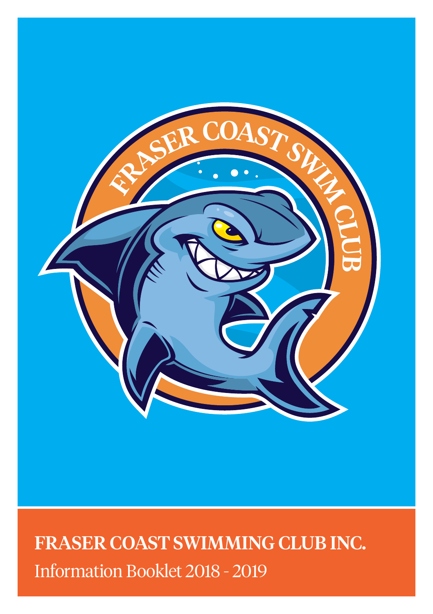

# FRASER COAST SWIMMING CLUB INC. Information Booklet 2018 - 2019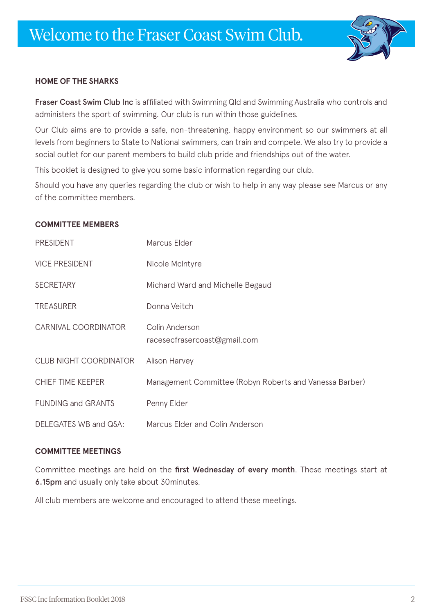# Welcome to the Fraser Coast Swim Club.



# **HOME OF THE SHARKS**

Fraser Coast Swim Club Inc is affiliated with Swimming Qld and Swimming Australia who controls and administers the sport of swimming. Our club is run within those guidelines.

Our Club aims are to provide a safe, non-threatening, happy environment so our swimmers at all levels from beginners to State to National swimmers, can train and compete. We also try to provide a social outlet for our parent members to build club pride and friendships out of the water.

This booklet is designed to give you some basic information regarding our club.

Should you have any queries regarding the club or wish to help in any way please see Marcus or any of the committee members.

#### **COMMITTEE MEMBERS**

| <b>PRESIDENT</b>              | Marcus Elder                                            |  |
|-------------------------------|---------------------------------------------------------|--|
| <b>VICE PRESIDENT</b>         | Nicole McIntyre                                         |  |
| <b>SECRETARY</b>              | Michard Ward and Michelle Begaud                        |  |
| <b>TREASURER</b>              | Donna Veitch                                            |  |
| CARNIVAL COORDINATOR          | Colin Anderson<br>racesecfrasercoast@gmail.com          |  |
| <b>CLUB NIGHT COORDINATOR</b> | <b>Alison Harvey</b>                                    |  |
| CHIEF TIME KEEPER             | Management Committee (Robyn Roberts and Vanessa Barber) |  |
| <b>FUNDING and GRANTS</b>     | Penny Elder                                             |  |
| DELEGATES WB and QSA:         | Marcus Elder and Colin Anderson                         |  |

#### **COMMITTEE MEETINGS**

Committee meetings are held on the first Wednesday of every month. These meetings start at 6.15pm and usually only take about 30minutes.

All club members are welcome and encouraged to attend these meetings.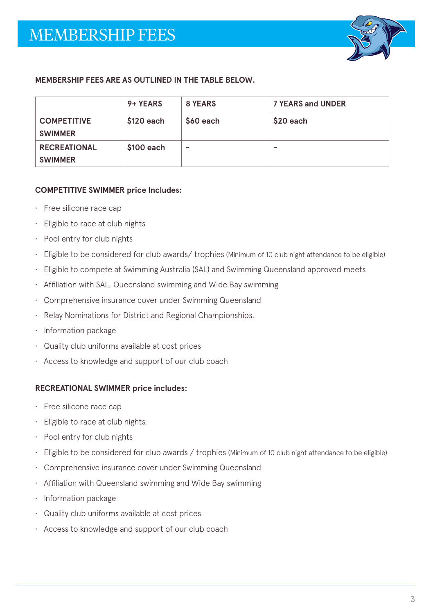

# **MEMBERSHIP FEES ARE AS OUTLINED IN THE TABLE BELOW.**

|                                       | 9+ YEARS    | 8 YEARS   | <b>7 YEARS and UNDER</b> |
|---------------------------------------|-------------|-----------|--------------------------|
| <b>COMPETITIVE</b><br><b>SWIMMER</b>  | $$120$ each | \$60 each | \$20 each                |
| <b>RECREATIONAL</b><br><b>SWIMMER</b> | \$100 each  | -         | $\overline{\phantom{a}}$ |

#### **COMPETITIVE SWIMMER price Includes:**

- Free silicone race cap
- Eligible to race at club nights
- Pool entry for club nights
- Eligible to be considered for club awards/ trophies (Minimum of 10 club night attendance to be eligible)
- Eligible to compete at Swimming Australia (SAL) and Swimming Queensland approved meets
- Affiliation with SAL, Queensland swimming and Wide Bay swimming
- Comprehensive insurance cover under Swimming Queensland
- Relay Nominations for District and Regional Championships.
- Information package
- Quality club uniforms available at cost prices
- Access to knowledge and support of our club coach

#### **RECREATIONAL SWIMMER price includes:**

- Free silicone race cap
- Eligible to race at club nights.
- Pool entry for club nights
- Eligible to be considered for club awards / trophies (Minimum of 10 club night attendance to be eligible)
- Comprehensive insurance cover under Swimming Queensland
- Affiliation with Queensland swimming and Wide Bay swimming
- Information package
- Quality club uniforms available at cost prices
- Access to knowledge and support of our club coach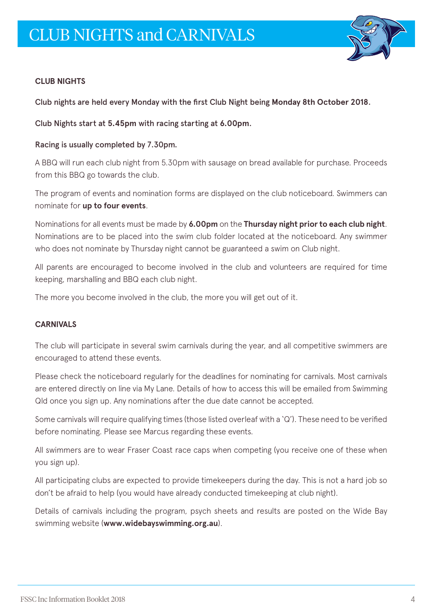

# **CLUB NIGHTS**

Club nights are held every Monday with the first Club Night being **Monday 8th October 2018**.

Club Nights start at **5.45pm** with racing starting at **6.00pm**.

### Racing is usually completed by 7.30pm.

A BBQ will run each club night from 5.30pm with sausage on bread available for purchase. Proceeds from this BBQ go towards the club.

The program of events and nomination forms are displayed on the club noticeboard. Swimmers can nominate for **up to four events**.

Nominations for all events must be made by **6.00pm** on the **Thursday night prior to each club night**. Nominations are to be placed into the swim club folder located at the noticeboard. Any swimmer who does not nominate by Thursday night cannot be guaranteed a swim on Club night.

All parents are encouraged to become involved in the club and volunteers are required for time keeping, marshalling and BBQ each club night.

The more you become involved in the club, the more you will get out of it.

# **CARNIVALS**

The club will participate in several swim carnivals during the year, and all competitive swimmers are encouraged to attend these events.

Please check the noticeboard regularly for the deadlines for nominating for carnivals. Most carnivals are entered directly on line via My Lane. Details of how to access this will be emailed from Swimming Qld once you sign up. Any nominations after the due date cannot be accepted.

Some carnivals will require qualifying times (those listed overleaf with a 'Q'). These need to be verified before nominating. Please see Marcus regarding these events.

All swimmers are to wear Fraser Coast race caps when competing (you receive one of these when you sign up).

All participating clubs are expected to provide timekeepers during the day. This is not a hard job so don't be afraid to help (you would have already conducted timekeeping at club night).

Details of carnivals including the program, psych sheets and results are posted on the Wide Bay swimming website (**www.widebayswimming.org.au**).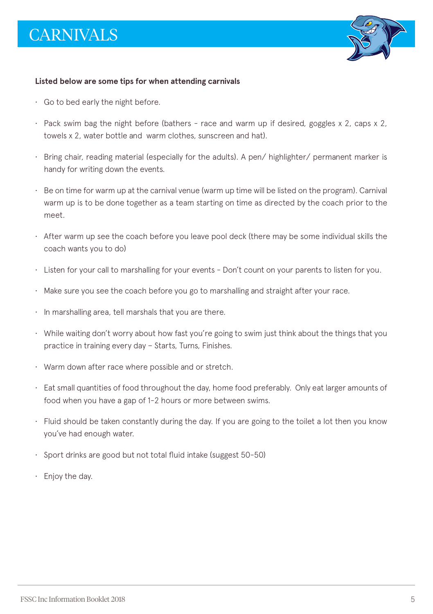

#### **Listed below are some tips for when attending carnivals**

- Go to bed early the night before.
- Pack swim bag the night before (bathers race and warm up if desired, goggles x 2, caps x 2, towels x 2, water bottle and warm clothes, sunscreen and hat).
- Bring chair, reading material (especially for the adults). A pen/ highlighter/ permanent marker is handy for writing down the events.
- $\cdot$  Be on time for warm up at the carnival venue (warm up time will be listed on the program). Carnival warm up is to be done together as a team starting on time as directed by the coach prior to the meet.
- After warm up see the coach before you leave pool deck (there may be some individual skills the coach wants you to do)
- Listen for your call to marshalling for your events Don't count on your parents to listen for you.
- Make sure you see the coach before you go to marshalling and straight after your race.
- In marshalling area, tell marshals that you are there.
- While waiting don't worry about how fast you're going to swim just think about the things that you practice in training every day – Starts, Turns, Finishes.
- Warm down after race where possible and or stretch.
- Eat small quantities of food throughout the day, home food preferably. Only eat larger amounts of food when you have a gap of 1-2 hours or more between swims.
- Fluid should be taken constantly during the day. If you are going to the toilet a lot then you know you've had enough water.
- Sport drinks are good but not total fluid intake (suggest 50-50)
- Enjoy the day.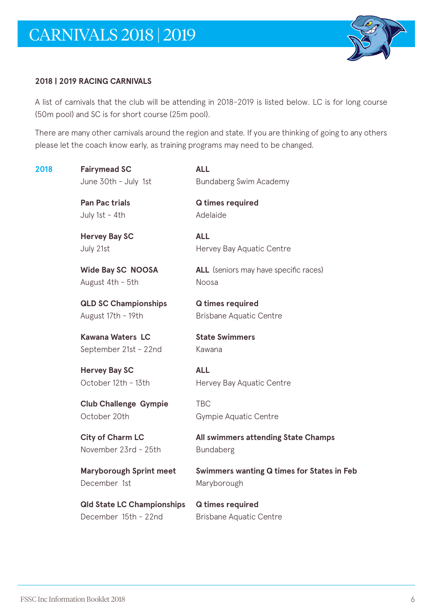

# **2018 | 2019 RACING CARNIVALS**

A list of carnivals that the club will be attending in 2018-2019 is listed below. LC is for long course (50m pool) and SC is for short course (25m pool).

There are many other carnivals around the region and state. If you are thinking of going to any others please let the coach know early, as training programs may need to be changed.

| 2018 | <b>Fairymead SC</b><br>June 30th - July 1st               | <b>ALL</b><br>Bundaberg Swim Academy                      |
|------|-----------------------------------------------------------|-----------------------------------------------------------|
|      | Pan Pac trials<br>July 1st - 4th                          | Q times required<br>Adelaide                              |
|      | <b>Hervey Bay SC</b><br>July 21st                         | <b>ALL</b><br>Hervey Bay Aquatic Centre                   |
|      | <b>Wide Bay SC NOOSA</b><br>August 4th - 5th              | <b>ALL</b> (seniors may have specific races)<br>Noosa     |
|      | <b>QLD SC Championships</b><br>August 17th - 19th         | Q times required<br><b>Brisbane Aquatic Centre</b>        |
|      | Kawana Waters LC<br>September 21st - 22nd                 | <b>State Swimmers</b><br>Kawana                           |
|      | <b>Hervey Bay SC</b><br>October 12th - 13th               | <b>ALL</b><br>Hervey Bay Aquatic Centre                   |
|      | <b>Club Challenge Gympie</b><br>October 20th              | <b>TBC</b><br>Gympie Aquatic Centre                       |
|      | <b>City of Charm LC</b><br>November 23rd - 25th           | All swimmers attending State Champs<br><b>Bundaberg</b>   |
|      | Maryborough Sprint meet<br>December 1st                   | Swimmers wanting Q times for States in Feb<br>Maryborough |
|      | <b>Qld State LC Championships</b><br>December 15th - 22nd | Q times required<br><b>Brisbane Aquatic Centre</b>        |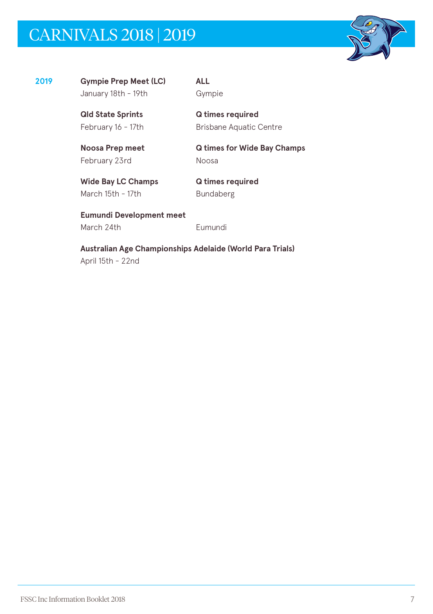# CARNIVALS 2018 | 2019



**2019 Gympie Prep Meet (LC) ALL**  January 18th - 19th Gympie

**Qld State Sprints Q times required** February 16 - 17th Brisbane Aquatic Centre

February 23rd Noosa

**Noosa Prep meet Q times for Wide Bay Champs**

Wide Bay LC Champs **Q times required** March 15th - 17th Bundaberg

**Eumundi Development meet**  March 24th **Eumundi** 

**Australian Age Championships Adelaide (World Para Trials)**  April 15th - 22nd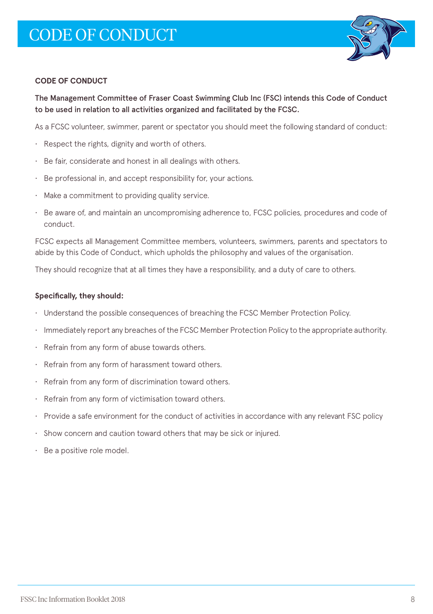

### **CODE OF CONDUCT**

The Management Committee of Fraser Coast Swimming Club Inc (FSC) intends this Code of Conduct to be used in relation to all activities organized and facilitated by the FCSC.

As a FCSC volunteer, swimmer, parent or spectator you should meet the following standard of conduct:

- Respect the rights, dignity and worth of others.
- Be fair, considerate and honest in all dealings with others.
- Be professional in, and accept responsibility for, your actions.
- Make a commitment to providing quality service.
- Be aware of, and maintain an uncompromising adherence to, FCSC policies, procedures and code of conduct.

FCSC expects all Management Committee members, volunteers, swimmers, parents and spectators to abide by this Code of Conduct, which upholds the philosophy and values of the organisation.

They should recognize that at all times they have a responsibility, and a duty of care to others.

#### **Specifically, they should:**

- Understand the possible consequences of breaching the FCSC Member Protection Policy.
- Immediately report any breaches of the FCSC Member Protection Policy to the appropriate authority.
- Refrain from any form of abuse towards others.
- Refrain from any form of harassment toward others.
- Refrain from any form of discrimination toward others.
- Refrain from any form of victimisation toward others.
- Provide a safe environment for the conduct of activities in accordance with any relevant FSC policy
- Show concern and caution toward others that may be sick or injured.
- Be a positive role model.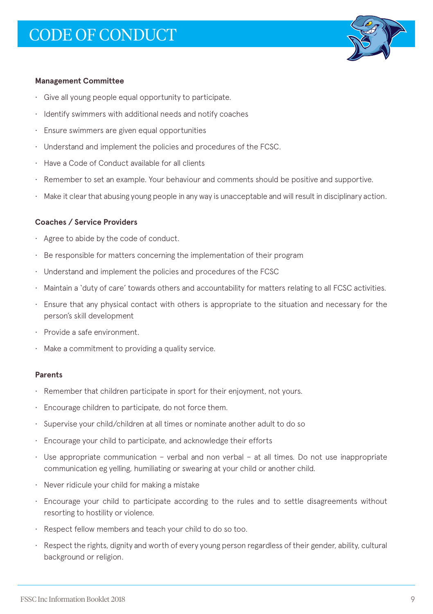

#### **Management Committee**

- Give all young people equal opportunity to participate.
- Identify swimmers with additional needs and notify coaches
- Ensure swimmers are given equal opportunities
- Understand and implement the policies and procedures of the FCSC.
- Have a Code of Conduct available for all clients
- Remember to set an example. Your behaviour and comments should be positive and supportive.
- Make it clear that abusing young people in any way is unacceptable and will result in disciplinary action.

#### **Coaches / Service Providers**

- Agree to abide by the code of conduct.
- Be responsible for matters concerning the implementation of their program
- Understand and implement the policies and procedures of the FCSC
- Maintain a 'duty of care' towards others and accountability for matters relating to all FCSC activities.
- Ensure that any physical contact with others is appropriate to the situation and necessary for the person's skill development
- Provide a safe environment.
- Make a commitment to providing a quality service.

#### **Parents**

- Remember that children participate in sport for their enjoyment, not yours.
- Encourage children to participate, do not force them.
- Supervise your child/children at all times or nominate another adult to do so
- Encourage your child to participate, and acknowledge their efforts
- Use appropriate communication verbal and non verbal at all times. Do not use inappropriate communication eg yelling, humiliating or swearing at your child or another child.
- Never ridicule your child for making a mistake
- Encourage your child to participate according to the rules and to settle disagreements without resorting to hostility or violence.
- Respect fellow members and teach your child to do so too.
- Respect the rights, dignity and worth of every young person regardless of their gender, ability, cultural background or religion.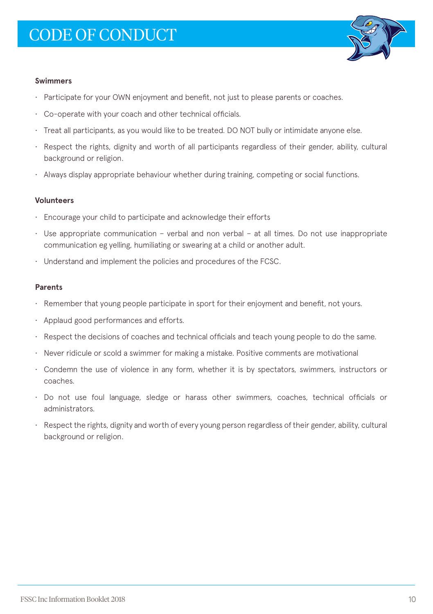

#### **Swimmers**

- Participate for your OWN enjoyment and benefit, not just to please parents or coaches.
- Co-operate with your coach and other technical officials.
- Treat all participants, as you would like to be treated. DO NOT bully or intimidate anyone else.
- Respect the rights, dignity and worth of all participants regardless of their gender, ability, cultural background or religion.
- Always display appropriate behaviour whether during training, competing or social functions.

#### **Volunteers**

- Encourage your child to participate and acknowledge their efforts
- Use appropriate communication verbal and non verbal at all times. Do not use inappropriate communication eg yelling, humiliating or swearing at a child or another adult.
- Understand and implement the policies and procedures of the FCSC.

#### **Parents**

- Remember that young people participate in sport for their enjoyment and benefit, not yours.
- Applaud good performances and efforts.
- Respect the decisions of coaches and technical officials and teach young people to do the same.
- Never ridicule or scold a swimmer for making a mistake. Positive comments are motivational
- Condemn the use of violence in any form, whether it is by spectators, swimmers, instructors or coaches.
- Do not use foul language, sledge or harass other swimmers, coaches, technical officials or administrators.
- Respect the rights, dignity and worth of every young person regardless of their gender, ability, cultural background or religion.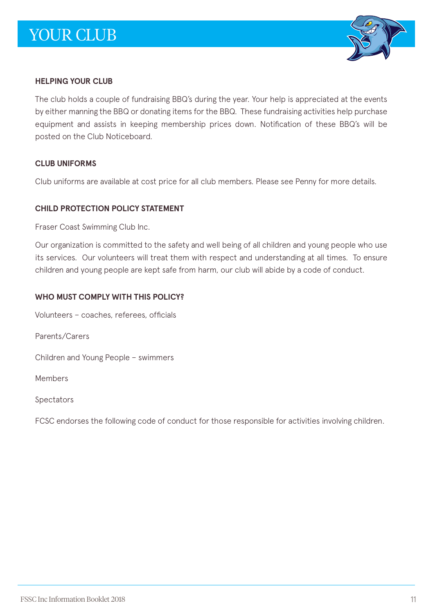

# **HELPING YOUR CLUB**

The club holds a couple of fundraising BBQ's during the year. Your help is appreciated at the events by either manning the BBQ or donating items for the BBQ. These fundraising activities help purchase equipment and assists in keeping membership prices down. Notification of these BBQ's will be posted on the Club Noticeboard.

# **CLUB UNIFORMS**

Club uniforms are available at cost price for all club members. Please see Penny for more details.

# **CHILD PROTECTION POLICY STATEMENT**

Fraser Coast Swimming Club Inc.

Our organization is committed to the safety and well being of all children and young people who use its services. Our volunteers will treat them with respect and understanding at all times. To ensure children and young people are kept safe from harm, our club will abide by a code of conduct.

# **WHO MUST COMPLY WITH THIS POLICY?**

Volunteers – coaches, referees, officials

Parents/Carers

Children and Young People – swimmers

Members

Spectators

FCSC endorses the following code of conduct for those responsible for activities involving children.